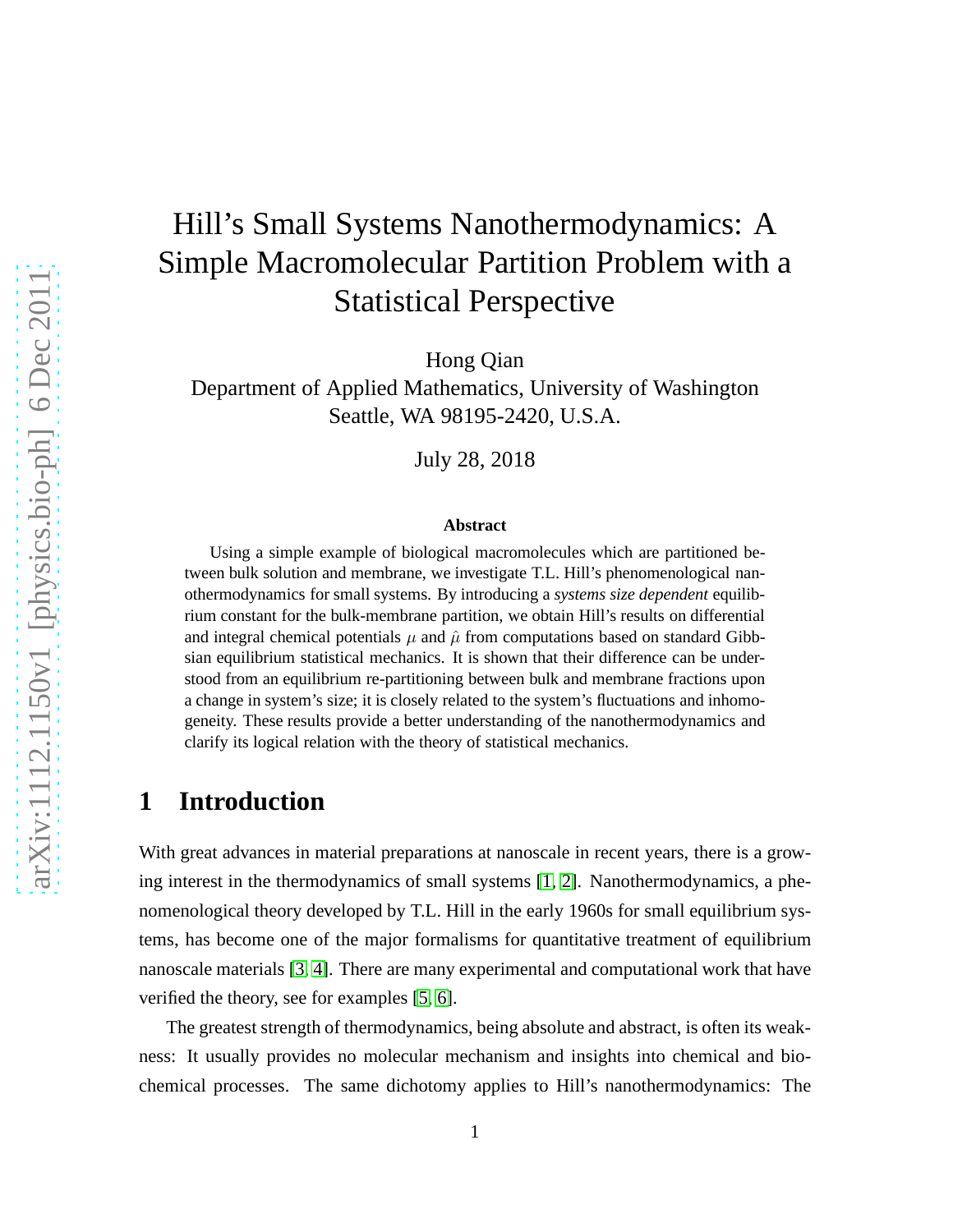# Hill's Small Systems Nanothermodynamics: A Simple Macromolecular Partition Problem with a Statistical Perspective

Hong Qian

Department of Applied Mathematics, University of Washington Seattle, WA 98195-2420, U.S.A.

July 28, 2018

#### **Abstract**

Using a simple example of biological macromolecules which are partitioned between bulk solution and membrane, we investigate T.L. Hill's phenomenological nanothermodynamics for small systems. By introducing a *systems size dependent* equilibrium constant for the bulk-membrane partition, we obtain Hill's results on differential and integral chemical potentials  $\mu$  and  $\hat{\mu}$  from computations based on standard Gibbsian equilibrium statistical mechanics. It is shown that their difference can be understood from an equilibrium re-partitioning between bulk and membrane fractions upon a change in system's size; it is closely related to the system's fluctuations and inhomogeneity. These results provide a better understanding of the nanothermodynamics and clarify its logical relation with the theory of statistical mechanics.

## **1 Introduction**

With great advances in material preparations at nanoscale in recent years, there is a growing interest in the thermodynamics of small systems [\[1,](#page-7-0) [2\]](#page-7-1). Nanothermodynamics, a phenomenological theory developed by T.L. Hill in the early 1960s for small equilibrium systems, has become one of the major formalisms for quantitative treatment of equilibrium nanoscale materials [\[3,](#page-7-2) [4\]](#page-7-3). There are many experimental and computational work that have verified the theory, see for examples [\[5,](#page-7-4) [6\]](#page-7-5).

The greatest strength of thermodynamics, being absolute and abstract, is often its weakness: It usually provides no molecular mechanism and insights into chemical and biochemical processes. The same dichotomy applies to Hill's nanothermodynamics: The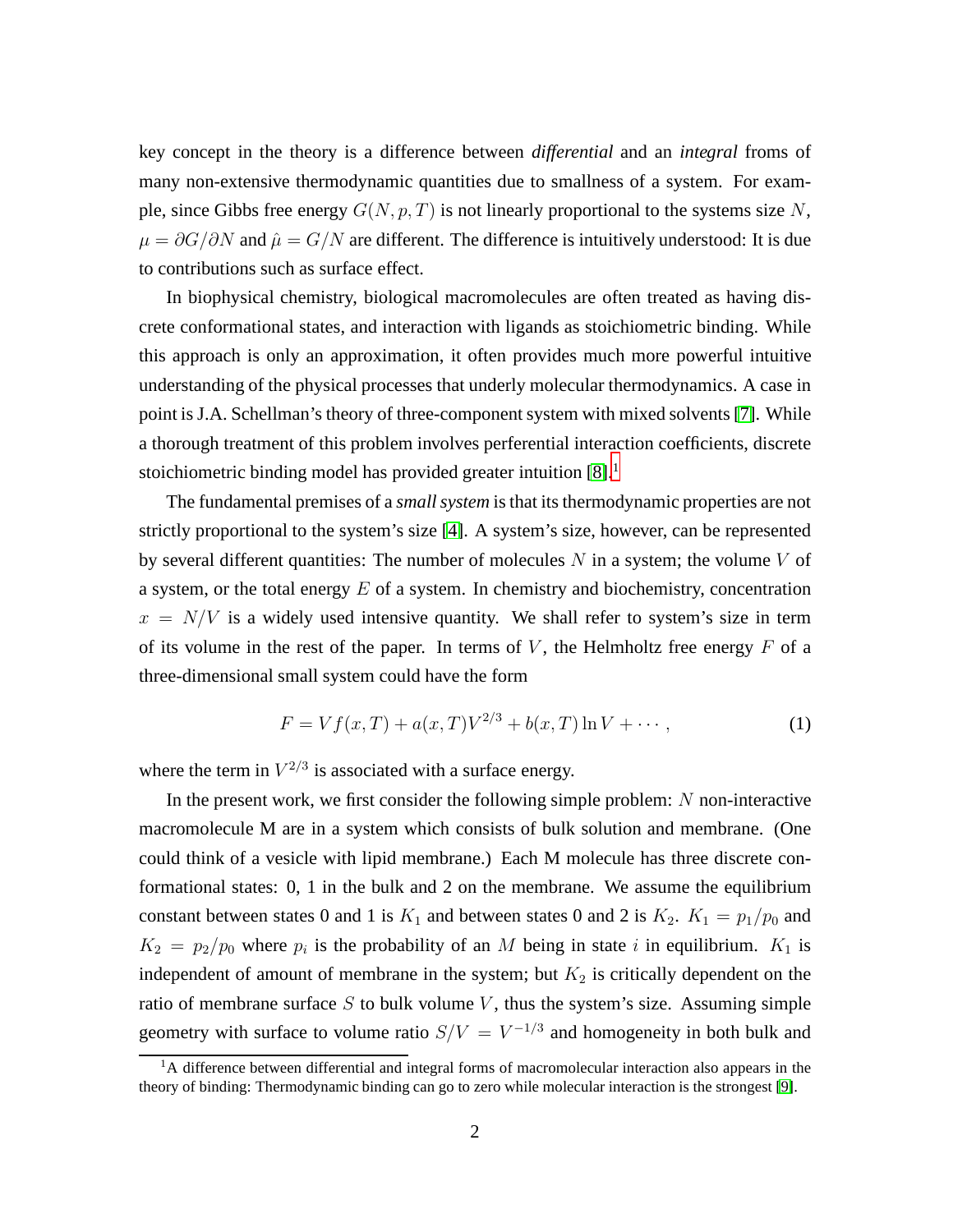key concept in the theory is a difference between *differential* and an *integral* froms of many non-extensive thermodynamic quantities due to smallness of a system. For example, since Gibbs free energy  $G(N, p, T)$  is not linearly proportional to the systems size N,  $\mu = \partial G/\partial N$  and  $\hat{\mu} = G/N$  are different. The difference is intuitively understood: It is due to contributions such as surface effect.

In biophysical chemistry, biological macromolecules are often treated as having discrete conformational states, and interaction with ligands as stoichiometric binding. While this approach is only an approximation, it often provides much more powerful intuitive understanding of the physical processes that underly molecular thermodynamics. A case in point is J.A. Schellman's theory of three-component system with mixed solvents [\[7\]](#page-7-6). While a thorough treatment of this problem involves perferential interaction coefficients, discrete stoichiometric binding model has provided greater intuition [\[8\]](#page-7-7).<sup>[1](#page-1-0)</sup>

The fundamental premises of a *small system* is that its thermodynamic properties are not strictly proportional to the system's size [\[4\]](#page-7-3). A system's size, however, can be represented by several different quantities: The number of molecules  $N$  in a system; the volume  $V$  of a system, or the total energy  $E$  of a system. In chemistry and biochemistry, concentration  $x = N/V$  is a widely used intensive quantity. We shall refer to system's size in term of its volume in the rest of the paper. In terms of  $V$ , the Helmholtz free energy  $F$  of a three-dimensional small system could have the form

$$
F = Vf(x,T) + a(x,T)V^{2/3} + b(x,T)\ln V + \cdots,
$$
\n(1)

where the term in  $V^{2/3}$  is associated with a surface energy.

In the present work, we first consider the following simple problem:  $N$  non-interactive macromolecule M are in a system which consists of bulk solution and membrane. (One could think of a vesicle with lipid membrane.) Each M molecule has three discrete conformational states: 0, 1 in the bulk and 2 on the membrane. We assume the equilibrium constant between states 0 and 1 is  $K_1$  and between states 0 and 2 is  $K_2$ .  $K_1 = p_1/p_0$  and  $K_2 = p_2/p_0$  where  $p_i$  is the probability of an M being in state i in equilibrium.  $K_1$  is independent of amount of membrane in the system; but  $K_2$  is critically dependent on the ratio of membrane surface  $S$  to bulk volume  $V$ , thus the system's size. Assuming simple geometry with surface to volume ratio  $S/V = V^{-1/3}$  and homogeneity in both bulk and

<span id="page-1-0"></span> $<sup>1</sup>A$  difference between differential and integral forms of macromolecular interaction also appears in the</sup> theory of binding: Thermodynamic binding can go to zero while molecular interaction is the strongest [\[9\]](#page-7-8).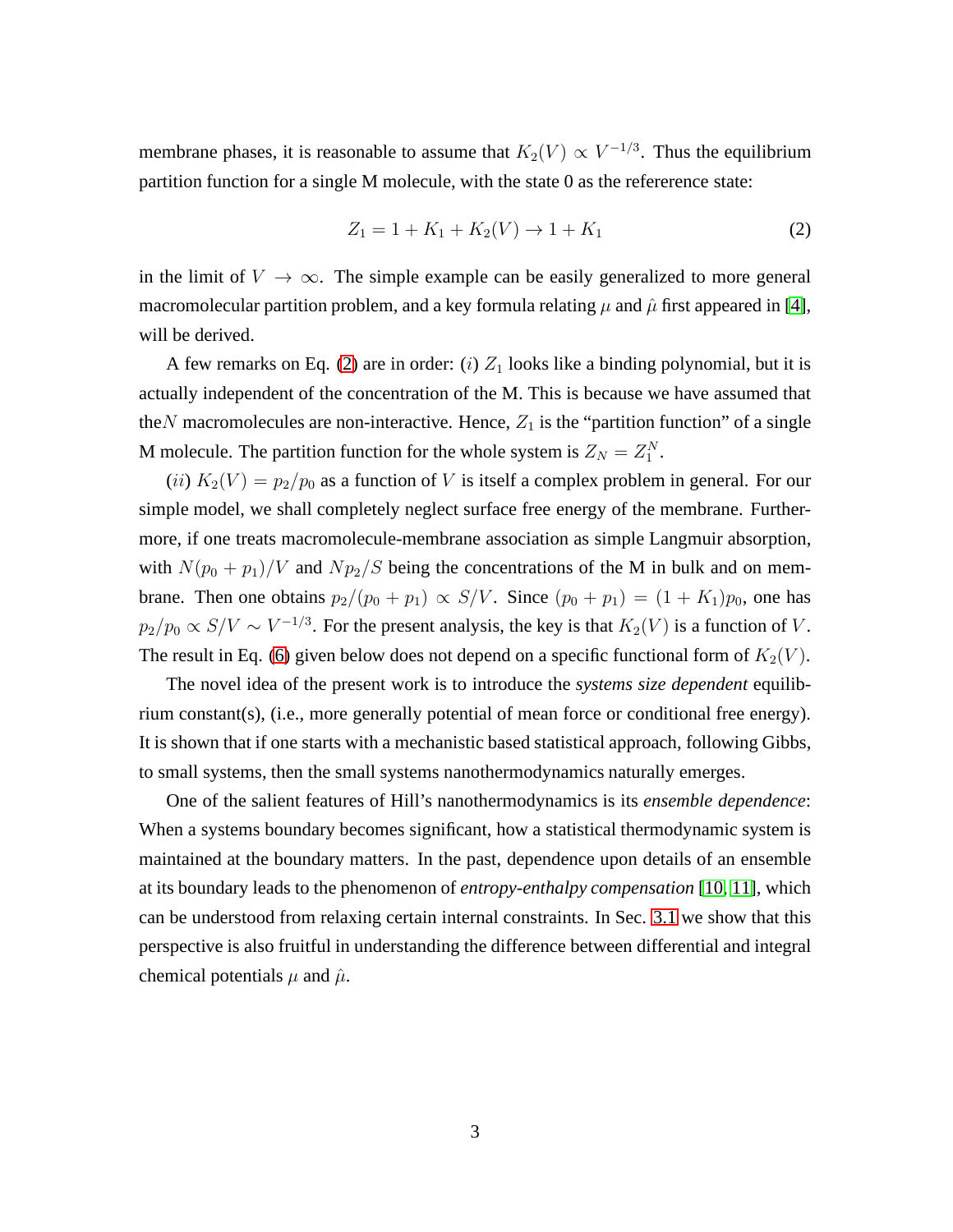membrane phases, it is reasonable to assume that  $K_2(V) \propto V^{-1/3}$ . Thus the equilibrium partition function for a single M molecule, with the state 0 as the refererence state:

<span id="page-2-0"></span>
$$
Z_1 = 1 + K_1 + K_2(V) \to 1 + K_1
$$
 (2)

in the limit of  $V \to \infty$ . The simple example can be easily generalized to more general macromolecular partition problem, and a key formula relating  $\mu$  and  $\hat{\mu}$  first appeared in [\[4\]](#page-7-3), will be derived.

A few remarks on Eq. [\(2\)](#page-2-0) are in order: (i)  $Z_1$  looks like a binding polynomial, but it is actually independent of the concentration of the M. This is because we have assumed that the N macromolecules are non-interactive. Hence,  $Z_1$  is the "partition function" of a single M molecule. The partition function for the whole system is  $Z_N = Z_1^N$ .

(ii)  $K_2(V) = p_2/p_0$  as a function of V is itself a complex problem in general. For our simple model, we shall completely neglect surface free energy of the membrane. Furthermore, if one treats macromolecule-membrane association as simple Langmuir absorption, with  $N(p_0 + p_1)/V$  and  $Np_2/S$  being the concentrations of the M in bulk and on membrane. Then one obtains  $p_2/(p_0 + p_1) \propto S/V$ . Since  $(p_0 + p_1) = (1 + K_1)p_0$ , one has  $p_2/p_0 \propto S/V \sim V^{-1/3}$ . For the present analysis, the key is that  $K_2(V)$  is a function of V. The result in Eq. [\(6\)](#page-3-0) given below does not depend on a specific functional form of  $K_2(V)$ .

The novel idea of the present work is to introduce the *systems size dependent* equilibrium constant(s), (i.e., more generally potential of mean force or conditional free energy). It is shown that if one starts with a mechanistic based statistical approach, following Gibbs, to small systems, then the small systems nanothermodynamics naturally emerges.

One of the salient features of Hill's nanothermodynamics is its *ensemble dependence*: When a systems boundary becomes significant, how a statistical thermodynamic system is maintained at the boundary matters. In the past, dependence upon details of an ensemble at its boundary leads to the phenomenon of *entropy-enthalpy compensation* [\[10,](#page-8-0) [11\]](#page-8-1), which can be understood from relaxing certain internal constraints. In Sec. [3.1](#page-4-0) we show that this perspective is also fruitful in understanding the difference between differential and integral chemical potentials  $\mu$  and  $\hat{\mu}$ .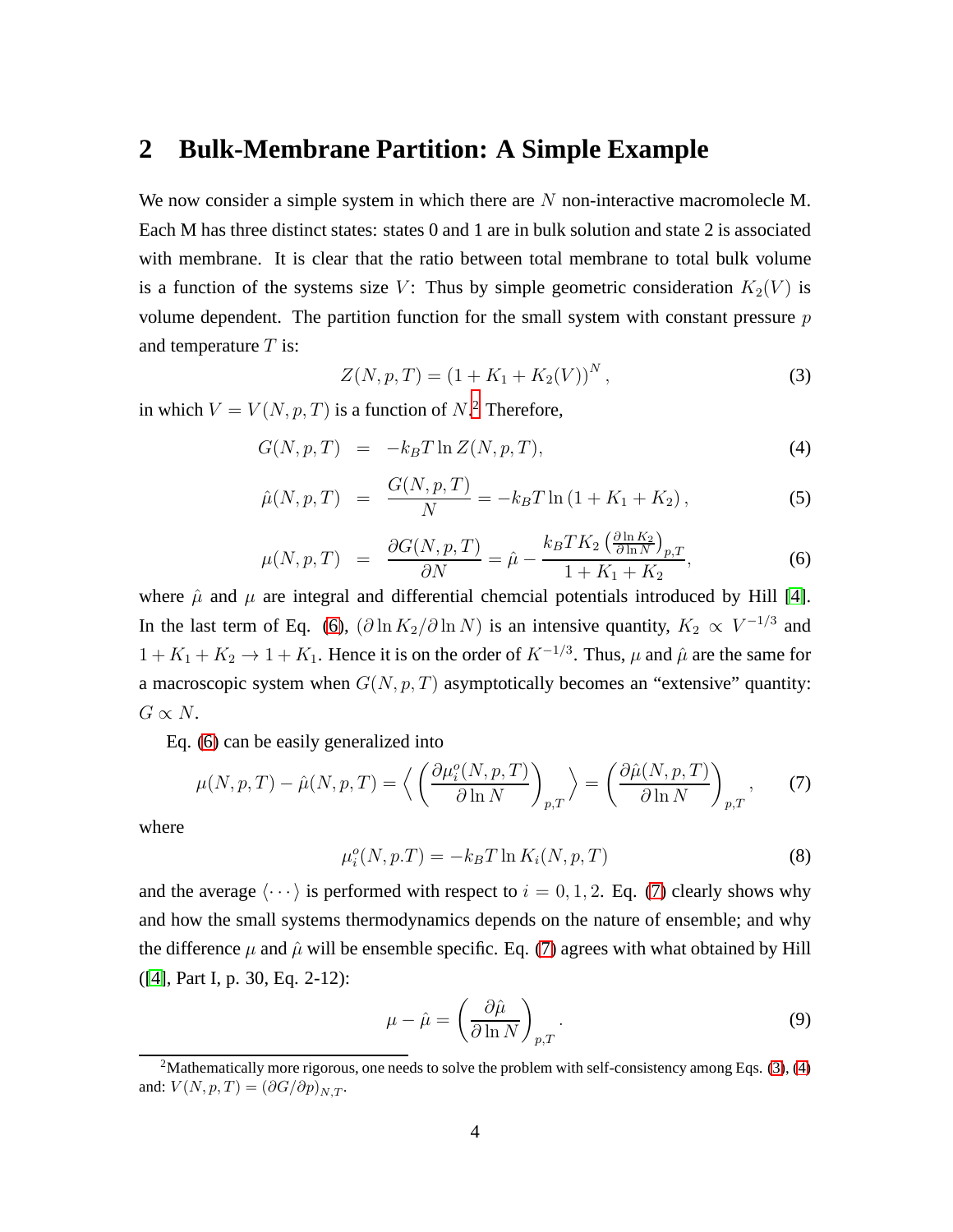## **2 Bulk-Membrane Partition: A Simple Example**

We now consider a simple system in which there are  $N$  non-interactive macromolecle M. Each M has three distinct states: states 0 and 1 are in bulk solution and state 2 is associated with membrane. It is clear that the ratio between total membrane to total bulk volume is a function of the systems size V: Thus by simple geometric consideration  $K_2(V)$  is volume dependent. The partition function for the small system with constant pressure  $p$ and temperature  $T$  is:

<span id="page-3-3"></span>
$$
Z(N, p, T) = (1 + K_1 + K_2(V))^N,
$$
\n(3)

in which  $V = V(N, p, T)$  is a function of  $N$ .<sup>[2](#page-3-1)</sup> Therefore,

<span id="page-3-0"></span>
$$
G(N, p, T) = -k_B T \ln Z(N, p, T), \qquad (4)
$$

$$
\hat{\mu}(N, p, T) = \frac{G(N, p, T)}{N} = -k_B T \ln(1 + K_1 + K_2), \qquad (5)
$$

$$
\mu(N, p, T) = \frac{\partial G(N, p, T)}{\partial N} = \hat{\mu} - \frac{k_B T K_2 \left(\frac{\partial \ln K_2}{\partial \ln N}\right)_{p, T}}{1 + K_1 + K_2},\tag{6}
$$

where  $\hat{\mu}$  and  $\mu$  are integral and differential chemcial potentials introduced by Hill [\[4\]](#page-7-3). In the last term of Eq. [\(6\)](#page-3-0),  $(\partial \ln K_2 / \partial \ln N)$  is an intensive quantity,  $K_2 \propto V^{-1/3}$  and  $1 + K_1 + K_2 \rightarrow 1 + K_1$ . Hence it is on the order of  $K^{-1/3}$ . Thus,  $\mu$  and  $\hat{\mu}$  are the same for a macroscopic system when  $G(N, p, T)$  asymptotically becomes an "extensive" quantity:  $G \propto N$ .

Eq. [\(6\)](#page-3-0) can be easily generalized into

<span id="page-3-2"></span>
$$
\mu(N, p, T) - \hat{\mu}(N, p, T) = \left\langle \left( \frac{\partial \mu_i^o(N, p, T)}{\partial \ln N} \right)_{p, T} \right\rangle = \left( \frac{\partial \hat{\mu}(N, p, T)}{\partial \ln N} \right)_{p, T}, \quad (7)
$$

where

$$
\mu_i^o(N, p.T) = -k_B T \ln K_i(N, p, T) \tag{8}
$$

and the average  $\langle \cdots \rangle$  is performed with respect to  $i = 0, 1, 2$ . Eq. [\(7\)](#page-3-2) clearly shows why and how the small systems thermodynamics depends on the nature of ensemble; and why the difference  $\mu$  and  $\hat{\mu}$  will be ensemble specific. Eq. [\(7\)](#page-3-2) agrees with what obtained by Hill ([\[4\]](#page-7-3), Part I, p. 30, Eq. 2-12):

$$
\mu - \hat{\mu} = \left(\frac{\partial \hat{\mu}}{\partial \ln N}\right)_{p,T}.
$$
\n(9)

<span id="page-3-1"></span><sup>&</sup>lt;sup>2</sup>Mathematically more rigorous, one needs to solve the problem with self-consistency among Eqs. [\(3\)](#page-3-3), [\(4\)](#page-3-0) and:  $V(N, p, T) = (\partial G/\partial p)_{N,T}$ .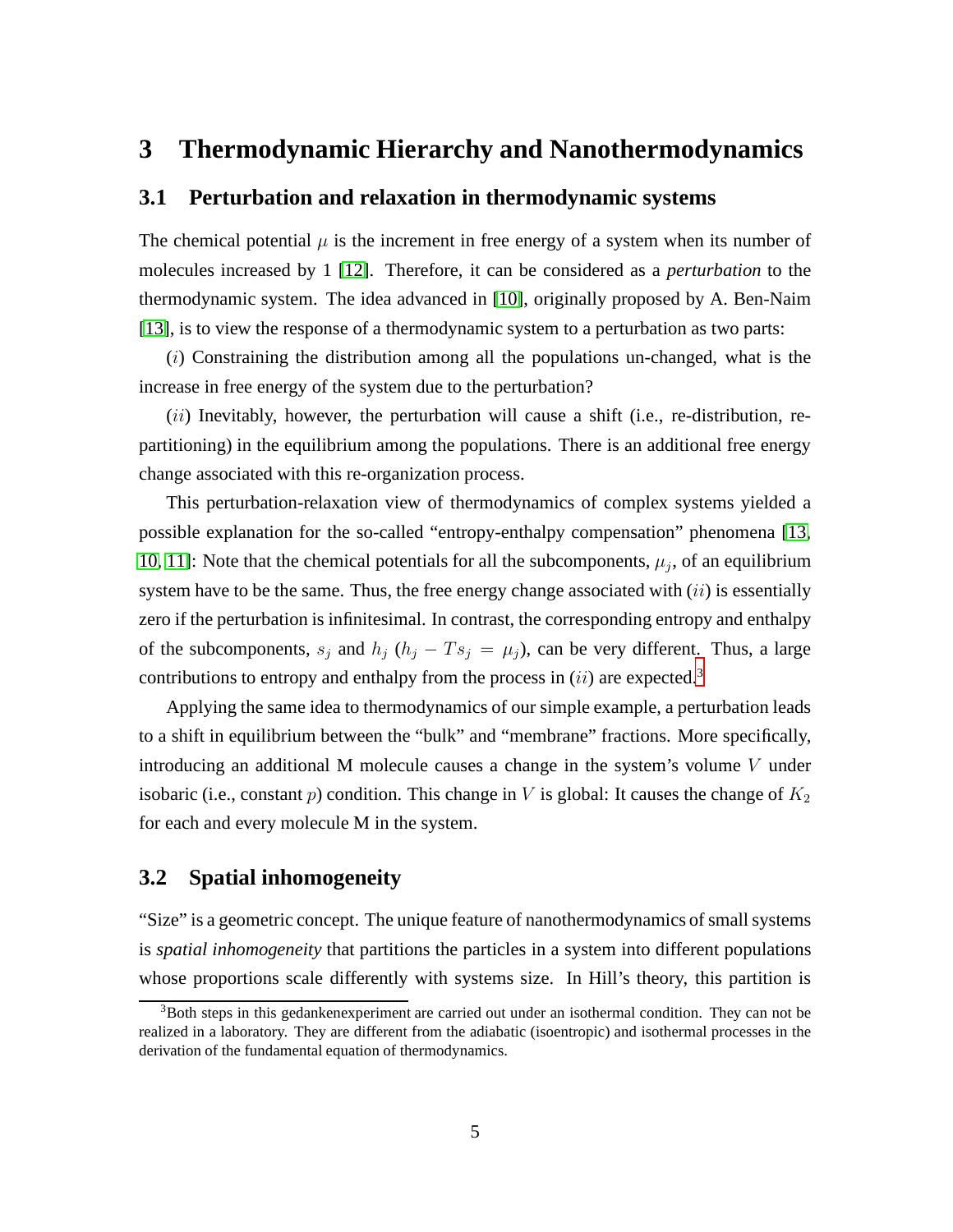## <span id="page-4-0"></span>**3 Thermodynamic Hierarchy and Nanothermodynamics**

#### **3.1 Perturbation and relaxation in thermodynamic systems**

The chemical potential  $\mu$  is the increment in free energy of a system when its number of molecules increased by 1 [\[12\]](#page-8-2). Therefore, it can be considered as a *perturbation* to the thermodynamic system. The idea advanced in [\[10\]](#page-8-0), originally proposed by A. Ben-Naim [\[13\]](#page-8-3), is to view the response of a thermodynamic system to a perturbation as two parts:

(i) Constraining the distribution among all the populations un-changed, what is the increase in free energy of the system due to the perturbation?

 $(ii)$  Inevitably, however, the perturbation will cause a shift (i.e., re-distribution, repartitioning) in the equilibrium among the populations. There is an additional free energy change associated with this re-organization process.

This perturbation-relaxation view of thermodynamics of complex systems yielded a possible explanation for the so-called "entropy-enthalpy compensation" phenomena [\[13,](#page-8-3) [10,](#page-8-0) [11\]](#page-8-1): Note that the chemical potentials for all the subcomponents,  $\mu_j$ , of an equilibrium system have to be the same. Thus, the free energy change associated with  $(ii)$  is essentially zero if the perturbation is infinitesimal. In contrast, the corresponding entropy and enthalpy of the subcomponents,  $s_j$  and  $h_j$  ( $h_j - Ts_j = \mu_j$ ), can be very different. Thus, a large contributions to entropy and enthalpy from the process in  $(ii)$  are expected.<sup>[3](#page-4-1)</sup>

Applying the same idea to thermodynamics of our simple example, a perturbation leads to a shift in equilibrium between the "bulk" and "membrane" fractions. More specifically, introducing an additional M molecule causes a change in the system's volume  $V$  under isobaric (i.e., constant p) condition. This change in V is global: It causes the change of  $K_2$ for each and every molecule M in the system.

#### **3.2 Spatial inhomogeneity**

"Size" is a geometric concept. The unique feature of nanothermodynamics of small systems is *spatial inhomogeneity* that partitions the particles in a system into different populations whose proportions scale differently with systems size. In Hill's theory, this partition is

<span id="page-4-1"></span> $3$ Both steps in this gedankenexperiment are carried out under an isothermal condition. They can not be realized in a laboratory. They are different from the adiabatic (isoentropic) and isothermal processes in the derivation of the fundamental equation of thermodynamics.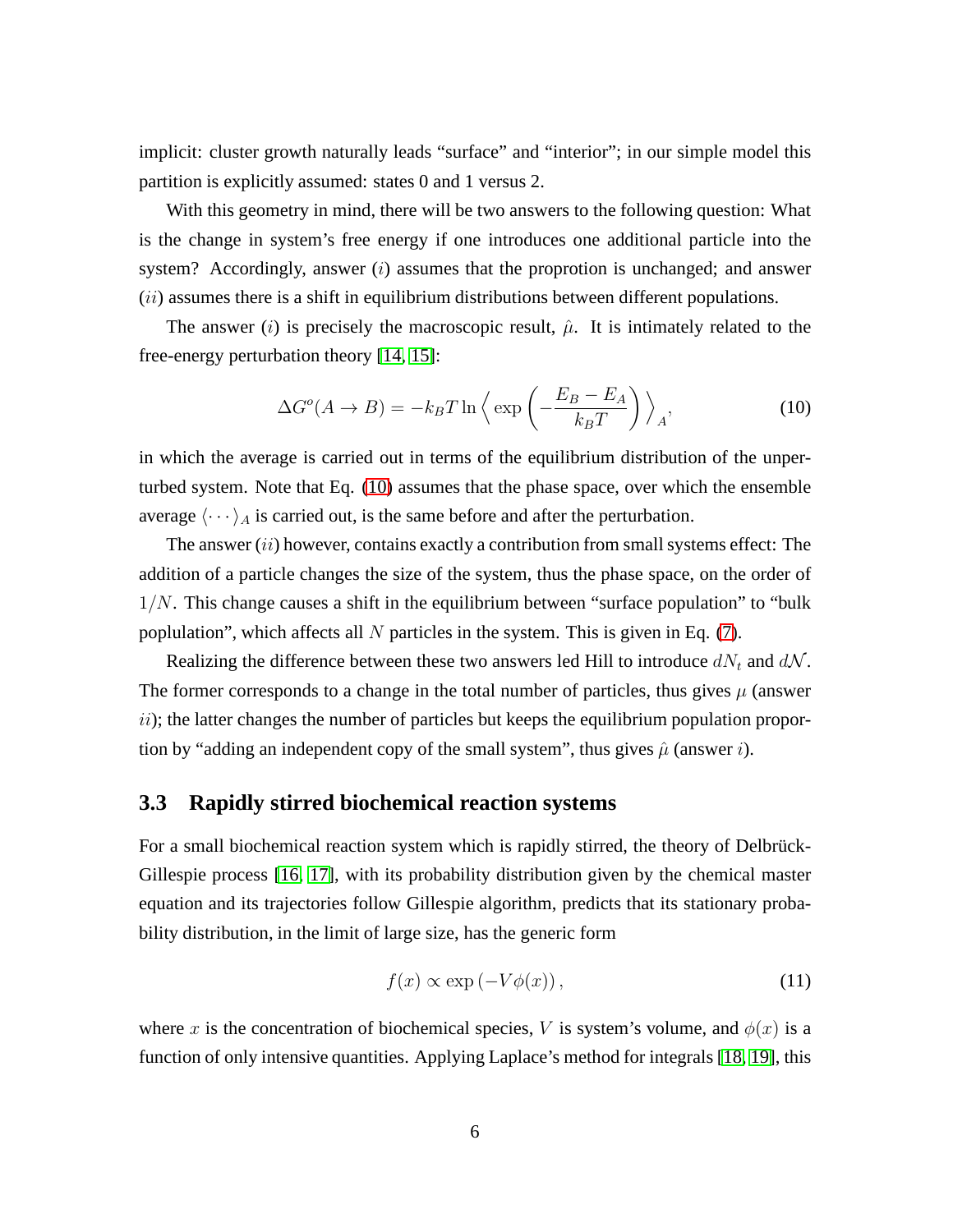implicit: cluster growth naturally leads "surface" and "interior"; in our simple model this partition is explicitly assumed: states 0 and 1 versus 2.

With this geometry in mind, there will be two answers to the following question: What is the change in system's free energy if one introduces one additional particle into the system? Accordingly, answer  $(i)$  assumes that the proprotion is unchanged; and answer (*ii*) assumes there is a shift in equilibrium distributions between different populations.

The answer (i) is precisely the macroscopic result,  $\hat{\mu}$ . It is intimately related to the free-energy perturbation theory [\[14,](#page-8-4) [15\]](#page-8-5):

<span id="page-5-0"></span>
$$
\Delta G^o(A \to B) = -k_B T \ln \left\langle \exp \left( -\frac{E_B - E_A}{k_B T} \right) \right\rangle_A, \tag{10}
$$

in which the average is carried out in terms of the equilibrium distribution of the unperturbed system. Note that Eq. [\(10\)](#page-5-0) assumes that the phase space, over which the ensemble average  $\langle \cdots \rangle_A$  is carried out, is the same before and after the perturbation.

The answer  $(ii)$  however, contains exactly a contribution from small systems effect: The addition of a particle changes the size of the system, thus the phase space, on the order of  $1/N$ . This change causes a shift in the equilibrium between "surface population" to "bulk poplulation", which affects all  $N$  particles in the system. This is given in Eq. [\(7\)](#page-3-2).

Realizing the difference between these two answers led Hill to introduce  $dN_t$  and  $dN$ . The former corresponds to a change in the total number of particles, thus gives  $\mu$  (answer  $ii)$ ; the latter changes the number of particles but keeps the equilibrium population proportion by "adding an independent copy of the small system", thus gives  $\hat{\mu}$  (answer *i*).

#### **3.3 Rapidly stirred biochemical reaction systems**

For a small biochemical reaction system which is rapidly stirred, the theory of Delbrück-Gillespie process [\[16,](#page-8-6) [17\]](#page-8-7), with its probability distribution given by the chemical master equation and its trajectories follow Gillespie algorithm, predicts that its stationary probability distribution, in the limit of large size, has the generic form

$$
f(x) \propto \exp(-V\phi(x)),\tag{11}
$$

where x is the concentration of biochemical species, V is system's volume, and  $\phi(x)$  is a function of only intensive quantities. Applying Laplace's method for integrals [\[18,](#page-8-8) [19\]](#page-8-9), this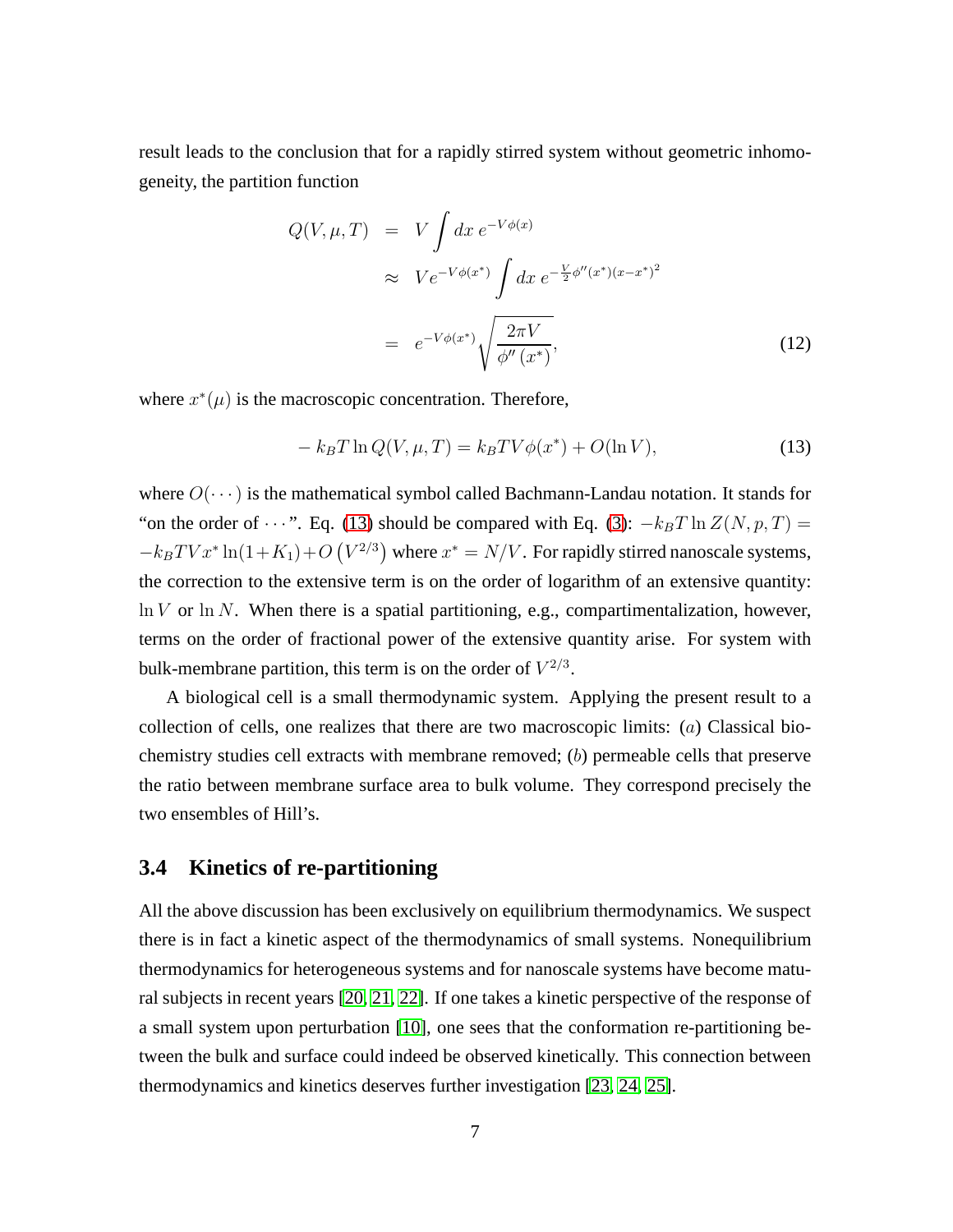result leads to the conclusion that for a rapidly stirred system without geometric inhomogeneity, the partition function

$$
Q(V, \mu, T) = V \int dx e^{-V\phi(x)}
$$
  
\n
$$
\approx V e^{-V\phi(x^*)} \int dx e^{-\frac{V}{2}\phi''(x^*)(x-x^*)^2}
$$
  
\n
$$
= e^{-V\phi(x^*)} \sqrt{\frac{2\pi V}{\phi''(x^*)}},
$$
\n(12)

where  $x^*(\mu)$  is the macroscopic concentration. Therefore,

<span id="page-6-0"></span>
$$
-k_B T \ln Q(V, \mu, T) = k_B T V \phi(x^*) + O(\ln V), \qquad (13)
$$

where  $O(\cdots)$  is the mathematical symbol called Bachmann-Landau notation. It stands for "on the order of  $\cdots$ ". Eq. [\(13\)](#page-6-0) should be compared with Eq. [\(3\)](#page-3-3):  $-k_BT \ln Z(N, p, T) =$  $-k_B T V x^* \ln(1+K_1) + O\left(V^{2/3}\right)$  where  $x^* = N/V$ . For rapidly stirred nanoscale systems, the correction to the extensive term is on the order of logarithm of an extensive quantity:  $\ln V$  or  $\ln N$ . When there is a spatial partitioning, e.g., compartimentalization, however, terms on the order of fractional power of the extensive quantity arise. For system with bulk-membrane partition, this term is on the order of  $V^{2/3}$ .

A biological cell is a small thermodynamic system. Applying the present result to a collection of cells, one realizes that there are two macroscopic limits: (a) Classical biochemistry studies cell extracts with membrane removed; (b) permeable cells that preserve the ratio between membrane surface area to bulk volume. They correspond precisely the two ensembles of Hill's.

### **3.4 Kinetics of re-partitioning**

All the above discussion has been exclusively on equilibrium thermodynamics. We suspect there is in fact a kinetic aspect of the thermodynamics of small systems. Nonequilibrium thermodynamics for heterogeneous systems and for nanoscale systems have become matural subjects in recent years [\[20,](#page-8-10) [21,](#page-8-11) [22\]](#page-8-12). If one takes a kinetic perspective of the response of a small system upon perturbation [\[10\]](#page-8-0), one sees that the conformation re-partitioning between the bulk and surface could indeed be observed kinetically. This connection between thermodynamics and kinetics deserves further investigation [\[23,](#page-9-0) [24,](#page-9-1) [25\]](#page-9-2).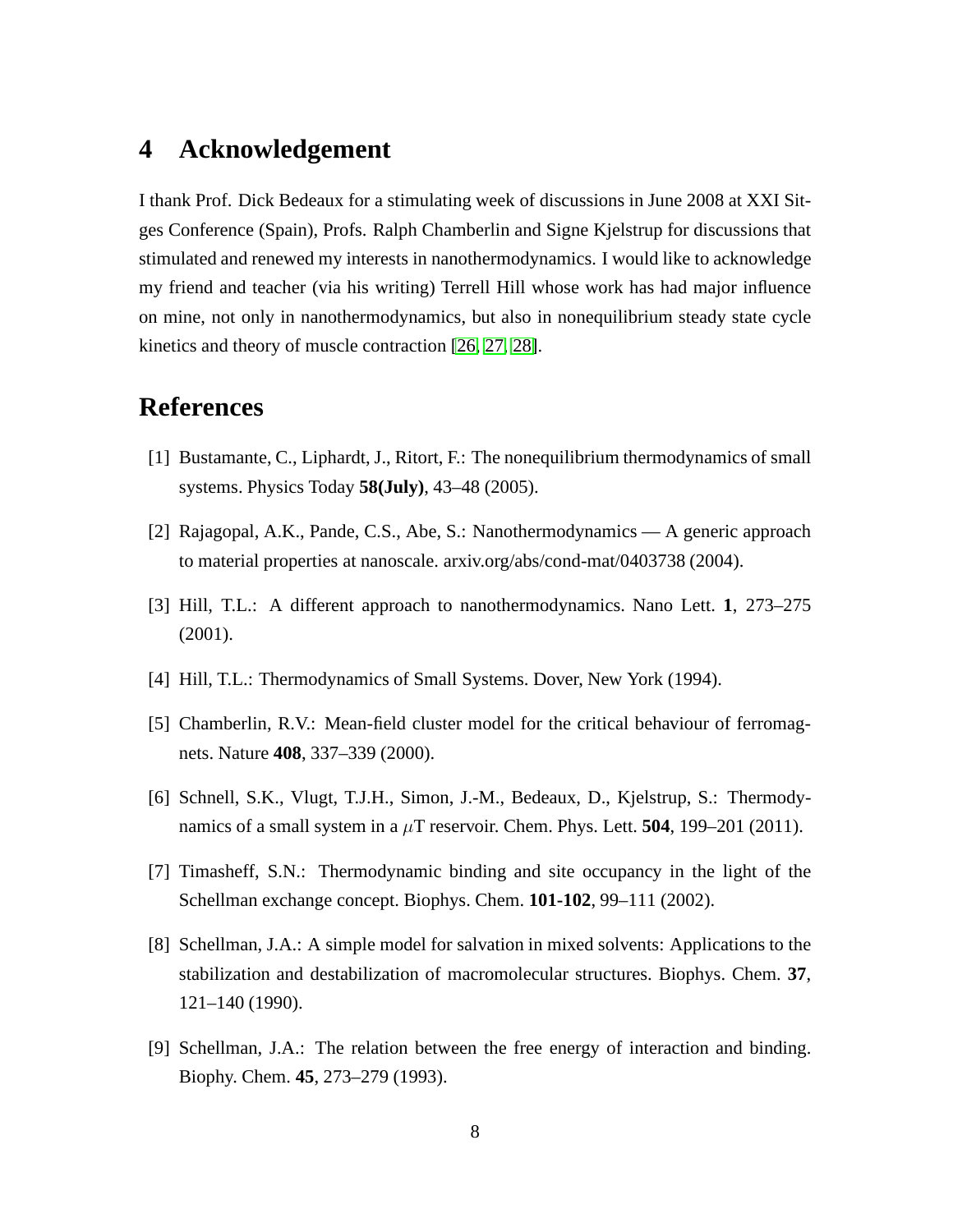## **4 Acknowledgement**

I thank Prof. Dick Bedeaux for a stimulating week of discussions in June 2008 at XXI Sitges Conference (Spain), Profs. Ralph Chamberlin and Signe Kjelstrup for discussions that stimulated and renewed my interests in nanothermodynamics. I would like to acknowledge my friend and teacher (via his writing) Terrell Hill whose work has had major influence on mine, not only in nanothermodynamics, but also in nonequilibrium steady state cycle kinetics and theory of muscle contraction [\[26,](#page-9-3) [27,](#page-9-4) [28\]](#page-9-5).

## <span id="page-7-0"></span>**References**

- <span id="page-7-1"></span>[1] Bustamante, C., Liphardt, J., Ritort, F.: The nonequilibrium thermodynamics of small systems. Physics Today **58(July)**, 43–48 (2005).
- <span id="page-7-2"></span>[2] Rajagopal, A.K., Pande, C.S., Abe, S.: Nanothermodynamics — A generic approach to material properties at nanoscale. arxiv.org/abs/cond-mat/0403738 (2004).
- <span id="page-7-3"></span>[3] Hill, T.L.: A different approach to nanothermodynamics. Nano Lett. **1**, 273–275 (2001).
- <span id="page-7-4"></span>[4] Hill, T.L.: Thermodynamics of Small Systems. Dover, New York (1994).
- <span id="page-7-5"></span>[5] Chamberlin, R.V.: Mean-field cluster model for the critical behaviour of ferromagnets. Nature **408**, 337–339 (2000).
- <span id="page-7-6"></span>[6] Schnell, S.K., Vlugt, T.J.H., Simon, J.-M., Bedeaux, D., Kjelstrup, S.: Thermodynamics of a small system in a  $\mu$ T reservoir. Chem. Phys. Lett. **504**, 199–201 (2011).
- <span id="page-7-7"></span>[7] Timasheff, S.N.: Thermodynamic binding and site occupancy in the light of the Schellman exchange concept. Biophys. Chem. **101-102**, 99–111 (2002).
- [8] Schellman, J.A.: A simple model for salvation in mixed solvents: Applications to the stabilization and destabilization of macromolecular structures. Biophys. Chem. **37**, 121–140 (1990).
- <span id="page-7-8"></span>[9] Schellman, J.A.: The relation between the free energy of interaction and binding. Biophy. Chem. **45**, 273–279 (1993).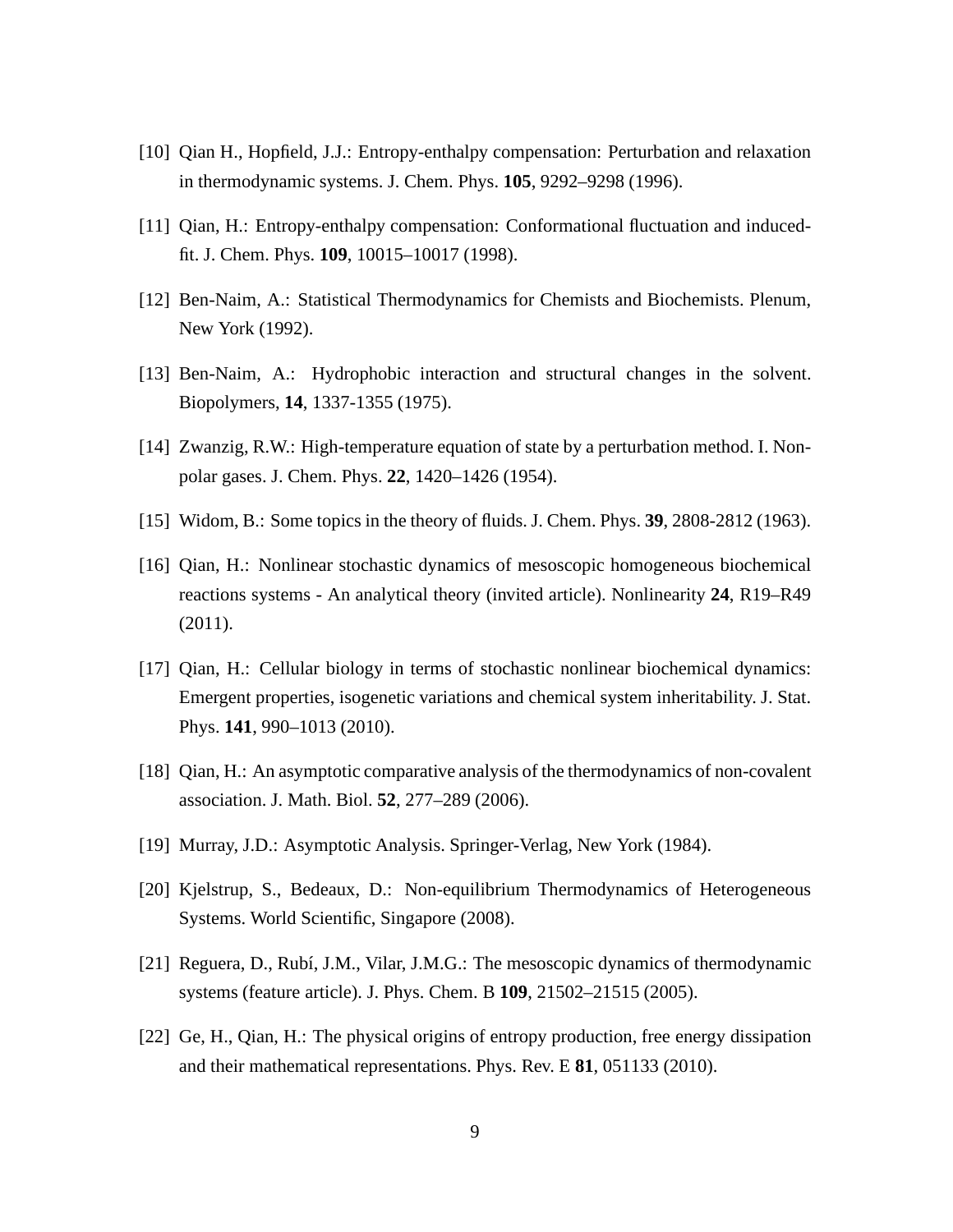- <span id="page-8-1"></span><span id="page-8-0"></span>[10] Qian H., Hopfield, J.J.: Entropy-enthalpy compensation: Perturbation and relaxation in thermodynamic systems. J. Chem. Phys. **105**, 9292–9298 (1996).
- <span id="page-8-2"></span>[11] Qian, H.: Entropy-enthalpy compensation: Conformational fluctuation and inducedfit. J. Chem. Phys. **109**, 10015–10017 (1998).
- <span id="page-8-3"></span>[12] Ben-Naim, A.: Statistical Thermodynamics for Chemists and Biochemists. Plenum, New York (1992).
- <span id="page-8-4"></span>[13] Ben-Naim, A.: Hydrophobic interaction and structural changes in the solvent. Biopolymers, **14**, 1337-1355 (1975).
- <span id="page-8-5"></span>[14] Zwanzig, R.W.: High-temperature equation of state by a perturbation method. I. Nonpolar gases. J. Chem. Phys. **22**, 1420–1426 (1954).
- <span id="page-8-6"></span>[15] Widom, B.: Some topics in the theory of fluids. J. Chem. Phys. **39**, 2808-2812 (1963).
- [16] Qian, H.: Nonlinear stochastic dynamics of mesoscopic homogeneous biochemical reactions systems - An analytical theory (invited article). Nonlinearity **24**, R19–R49 (2011).
- <span id="page-8-7"></span>[17] Qian, H.: Cellular biology in terms of stochastic nonlinear biochemical dynamics: Emergent properties, isogenetic variations and chemical system inheritability. J. Stat. Phys. **141**, 990–1013 (2010).
- <span id="page-8-9"></span><span id="page-8-8"></span>[18] Qian, H.: An asymptotic comparative analysis of the thermodynamics of non-covalent association. J. Math. Biol. **52**, 277–289 (2006).
- <span id="page-8-10"></span>[19] Murray, J.D.: Asymptotic Analysis. Springer-Verlag, New York (1984).
- <span id="page-8-11"></span>[20] Kjelstrup, S., Bedeaux, D.: Non-equilibrium Thermodynamics of Heterogeneous Systems. World Scientific, Singapore (2008).
- <span id="page-8-12"></span>[21] Reguera, D., Rubí, J.M., Vilar, J.M.G.: The mesoscopic dynamics of thermodynamic systems (feature article). J. Phys. Chem. B **109**, 21502–21515 (2005).
- [22] Ge, H., Qian, H.: The physical origins of entropy production, free energy dissipation and their mathematical representations. Phys. Rev. E **81**, 051133 (2010).